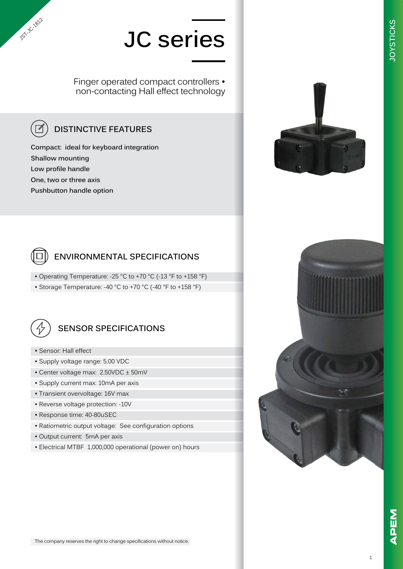Finger operated compact controllers • non-contacting Hall effect technology

### **DISTINCTIVE FEATURES**

**Compact: ideal for keyboard integration Shallow mounting Low profile handle One, two or three axis Pushbutton handle option**



**JST-JST-1822** 

### **ENVIRONMENTAL SPECIFICATIONS**

- Operating Temperature: -25 °C to +70 °C (-13 °F to +158 °F)
- Storage Temperature: -40 °C to +70 °C (-40 °F to +158 °F)



### **SENSOR SPECIFICATIONS**

- Sensor: Hall effect
- Supply voltage range: 5.00 VDC
- Center voltage max: 2.50VDC ± 50mV
- Supply current max: 10mA per axis
- Transient overvoltage: 16V max
- Reverse voltage protection: -10V
- Response time: 40-80uSEC
- Ratiometric output voltage: See configuration options
- Output current: 5mA per axis
- Electrical MTBF 1,000,000 operational (power on) hours





NBEN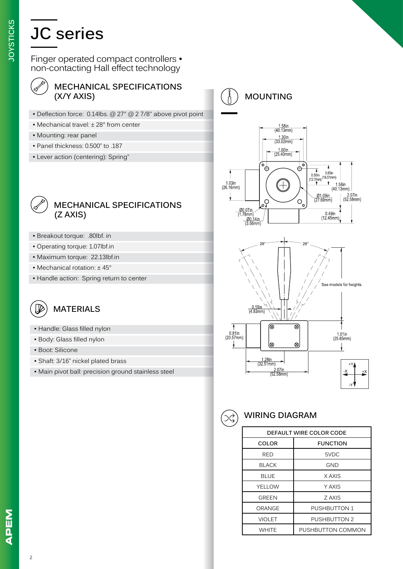Finger operated compact controllers • non-contacting Hall effect technology



### **MECHANICAL SPECIFICATIONS (X/Y AXIS)**

- Deflection force: 0.14lbs. @ 27° @ 2 7/8" above pivot point
- Mechanical travel: ± 28° from center
- Mounting: rear panel
- Panel thickness: 0.500" to .187
- Lever action (centering): Spring"



#### **MECHANICAL SPECIFICATIONS (Z AXIS)**

- Breakout torque: .80lbf. in
- Operating torque: 1.07lbf.in
- Maximum torque: 22.13lbf.in
- Mechanical rotation: ± 45°
- Handle action: Spring return to center

1.12

### **MATERIALS**

- Handle: Glass filled nylon
- Body: Glass filled nylon
- Boot: Silicone
- Shaft: 3/16" nickel plated brass
- Main pivot ball: precision ground stainless steel



**MOUNTING**



#### **WIRING DIAGRAM**

| DEFAULT WIRE COLOR CODE |                     |
|-------------------------|---------------------|
| <b>COLOR</b>            | <b>FUNCTION</b>     |
| RED                     | 5VDC                |
| <b>BLACK</b>            | GND                 |
| <b>BLUE</b>             | X AXIS              |
| YELLOW                  | Y AXIS              |
| <b>GREEN</b>            | Z AXIS              |
| ORANGE                  | <b>PUSHBUTTON 1</b> |
| <b>VIOLET</b>           | <b>PUSHBUTTON 2</b> |
| <b>WHITE</b>            | PUSHBUTTON COMMON   |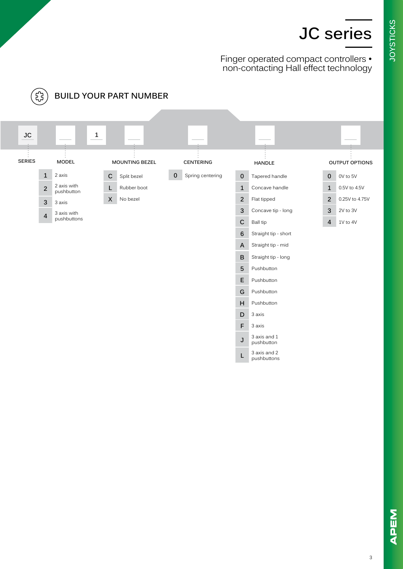Finger operated compact controllers • non-contacting Hall effect technology



3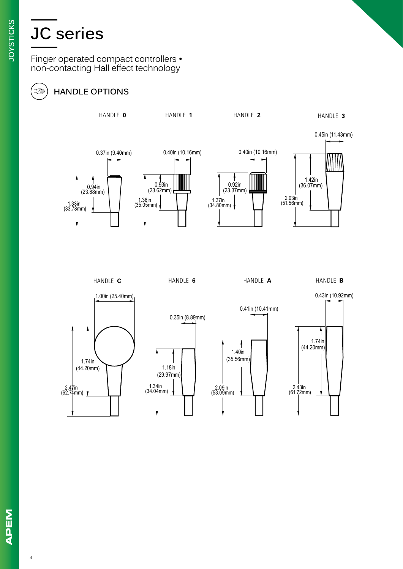#### Finger operated compact controllers • non-contacting Hall effect technology

### 地

### **HANDLE OPTIONS**











HANDLE **C** HANDLE **6** HANDLE **A** HANDLE **B**